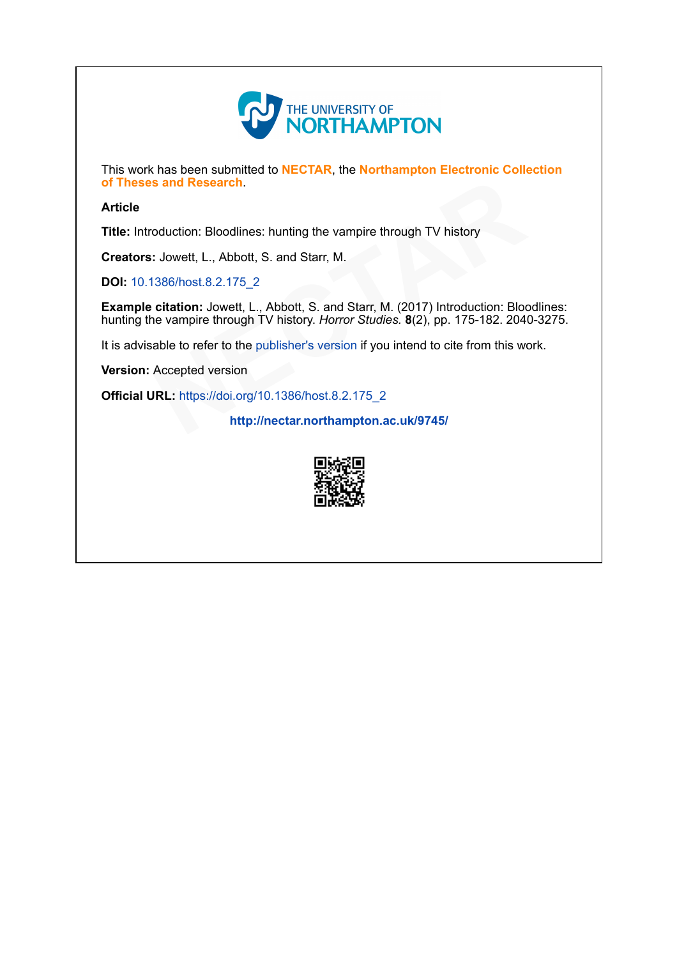

This work has been submitted to NECTAR, the Northampton Electronic Collection of Theses and Research.

## Article

Title: Introduction: Bloodlines: hunting the vampire through TV history

Creators: Jowett, L., Abbott, S. and Starr, M.

DOI: [10.1386/host.8.2.175\\_2](http://dx.doi.org/10.1386/host.8.2.175_2)

Example citation: Jowett, L., Abbott, S. and Starr, M. (2017) Introduction: Bloodlines: hunting the vampire through TV history. Horror Studies. 8(2), pp. 175-182. 2040-3275.<br>
It is advisable to refer to the publisher's version if you intend to cite from this work.<br> **Version:** Accepted version<br> **Official URL:** hunting the vampire through TV history<br>
S. and Starr, M.<br>
Abbott, S. and Starr, M. (2017) Introduction: Bloc<br>
V history. Horror Studies. 8(2), pp. 175-182. 2040<br>
Iblisher's version if you intend to cite from this wo

It is advisable to refer to the publisher's version if you intend to cite from this work.

Version: Accepted version

**Official URL: [https://doi.org/10.1386/host.8.2.175\\_2](https://doi.org/10.1386/host.8.2.175_2)** 

[p://nectar.northampton.ac.uk/9745/](http://nectar.northampton.ac.uk/9745/)

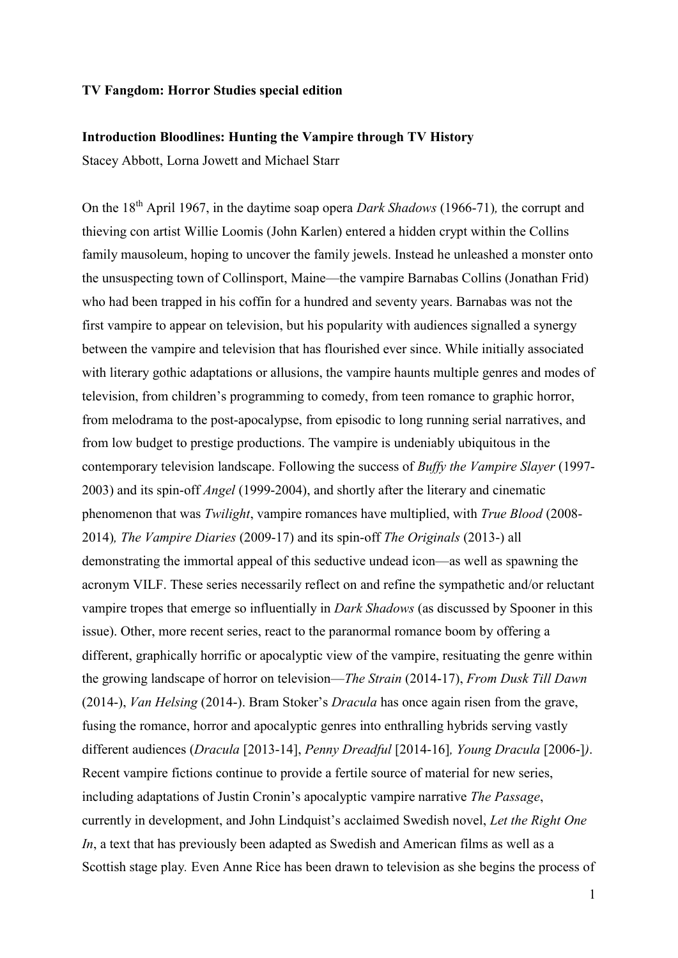## **TV Fangdom: Horror Studies special edition**

## **Introduction Bloodlines: Hunting the Vampire through TV History**

Stacey Abbott, Lorna Jowett and Michael Starr

On the 18th April 1967, in the daytime soap opera *Dark Shadows* (1966-71)*,* the corrupt and thieving con artist Willie Loomis (John Karlen) entered a hidden crypt within the Collins family mausoleum, hoping to uncover the family jewels. Instead he unleashed a monster onto the unsuspecting town of Collinsport, Maine—the vampire Barnabas Collins (Jonathan Frid) who had been trapped in his coffin for a hundred and seventy years. Barnabas was not the first vampire to appear on television, but his popularity with audiences signalled a synergy between the vampire and television that has flourished ever since. While initially associated with literary gothic adaptations or allusions, the vampire haunts multiple genres and modes of television, from children's programming to comedy, from teen romance to graphic horror, from melodrama to the post-apocalypse, from episodic to long running serial narratives, and from low budget to prestige productions. The vampire is undeniably ubiquitous in the contemporary television landscape. Following the success of *Buffy the Vampire Slayer* (1997- 2003) and its spin-off *Angel* (1999-2004), and shortly after the literary and cinematic phenomenon that was *Twilight*, vampire romances have multiplied, with *True Blood* (2008- 2014)*, The Vampire Diaries* (2009-17) and its spin-off *The Originals* (2013-) all demonstrating the immortal appeal of this seductive undead icon—as well as spawning the acronym VILF. These series necessarily reflect on and refine the sympathetic and/or reluctant vampire tropes that emerge so influentially in *Dark Shadows* (as discussed by Spooner in this issue). Other, more recent series, react to the paranormal romance boom by offering a different, graphically horrific or apocalyptic view of the vampire, resituating the genre within the growing landscape of horror on television—*The Strain* (2014-17), *From Dusk Till Dawn*  (2014-), *Van Helsing* (2014-). Bram Stoker's *Dracula* has once again risen from the grave, fusing the romance, horror and apocalyptic genres into enthralling hybrids serving vastly different audiences (*Dracula* [2013-14], *Penny Dreadful* [2014-16]*, Young Dracula* [2006-]*)*. Recent vampire fictions continue to provide a fertile source of material for new series, including adaptations of Justin Cronin's apocalyptic vampire narrative *The Passage*, currently in development, and John Lindquist's acclaimed Swedish novel, *Let the Right One In*, a text that has previously been adapted as Swedish and American films as well as a Scottish stage play*.* Even Anne Rice has been drawn to television as she begins the process of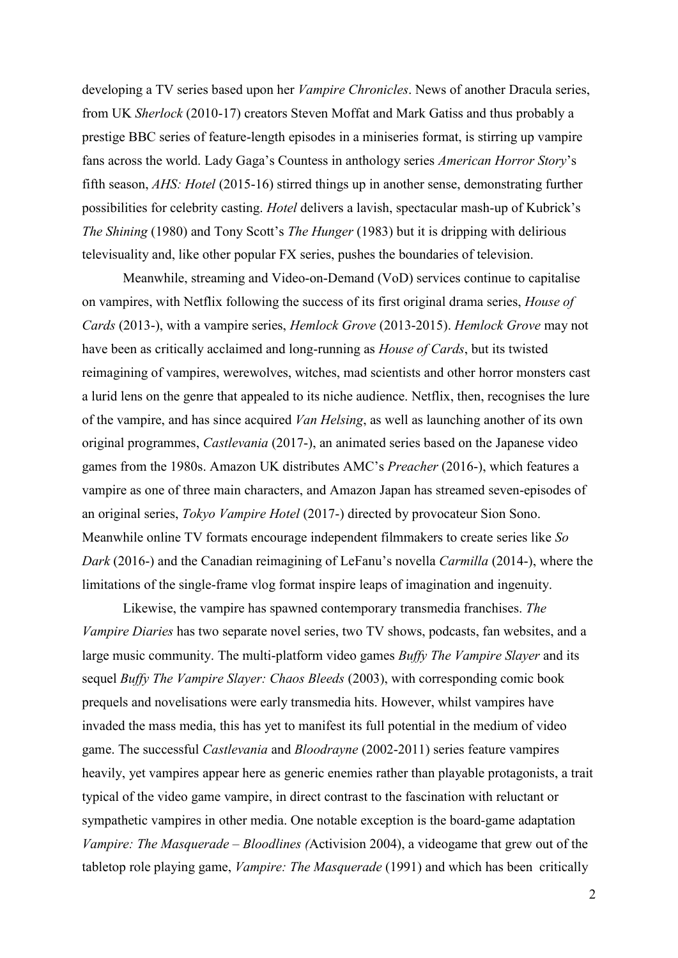developing a TV series based upon her *Vampire Chronicles*. News of another Dracula series, from UK *Sherlock* (2010-17) creators Steven Moffat and Mark Gatiss and thus probably a prestige BBC series of feature-length episodes in a miniseries format, is stirring up vampire fans across the world. Lady Gaga's Countess in anthology series *American Horror Story*'s fifth season, *AHS: Hotel* (2015-16) stirred things up in another sense, demonstrating further possibilities for celebrity casting. *Hotel* delivers a lavish, spectacular mash-up of Kubrick's *The Shining* (1980) and Tony Scott's *The Hunger* (1983) but it is dripping with delirious televisuality and, like other popular FX series, pushes the boundaries of television.

Meanwhile, streaming and Video-on-Demand (VoD) services continue to capitalise on vampires, with Netflix following the success of its first original drama series, *House of Cards* (2013-), with a vampire series, *Hemlock Grove* (2013-2015). *Hemlock Grove* may not have been as critically acclaimed and long-running as *House of Cards*, but its twisted reimagining of vampires, werewolves, witches, mad scientists and other horror monsters cast a lurid lens on the genre that appealed to its niche audience. Netflix, then, recognises the lure of the vampire, and has since acquired *Van Helsing*, as well as launching another of its own original programmes, *Castlevania* (2017-), an animated series based on the Japanese video games from the 1980s. Amazon UK distributes AMC's *Preacher* (2016-), which features a vampire as one of three main characters, and Amazon Japan has streamed seven-episodes of an original series, *Tokyo Vampire Hotel* (2017-) directed by provocateur Sion Sono. Meanwhile online TV formats encourage independent filmmakers to create series like *So Dark* (2016-) and the Canadian reimagining of LeFanu's novella *Carmilla* (2014-), where the limitations of the single-frame vlog format inspire leaps of imagination and ingenuity.

Likewise, the vampire has spawned contemporary transmedia franchises. *The Vampire Diaries* has two separate novel series, two TV shows, podcasts, fan websites, and a large music community. The multi-platform video games *Buffy The Vampire Slayer* and its sequel *Buffy The Vampire Slayer: Chaos Bleeds* (2003), with corresponding comic book prequels and novelisations were early transmedia hits. However, whilst vampires have invaded the mass media, this has yet to manifest its full potential in the medium of video game. The successful *Castlevania* and *Bloodrayne* (2002-2011) series feature vampires heavily, yet vampires appear here as generic enemies rather than playable protagonists, a trait typical of the video game vampire, in direct contrast to the fascination with reluctant or sympathetic vampires in other media. One notable exception is the board-game adaptation *Vampire: The Masquerade – Bloodlines (*Activision 2004), a videogame that grew out of the tabletop role playing game, *Vampire: The Masquerade* (1991) and which has been critically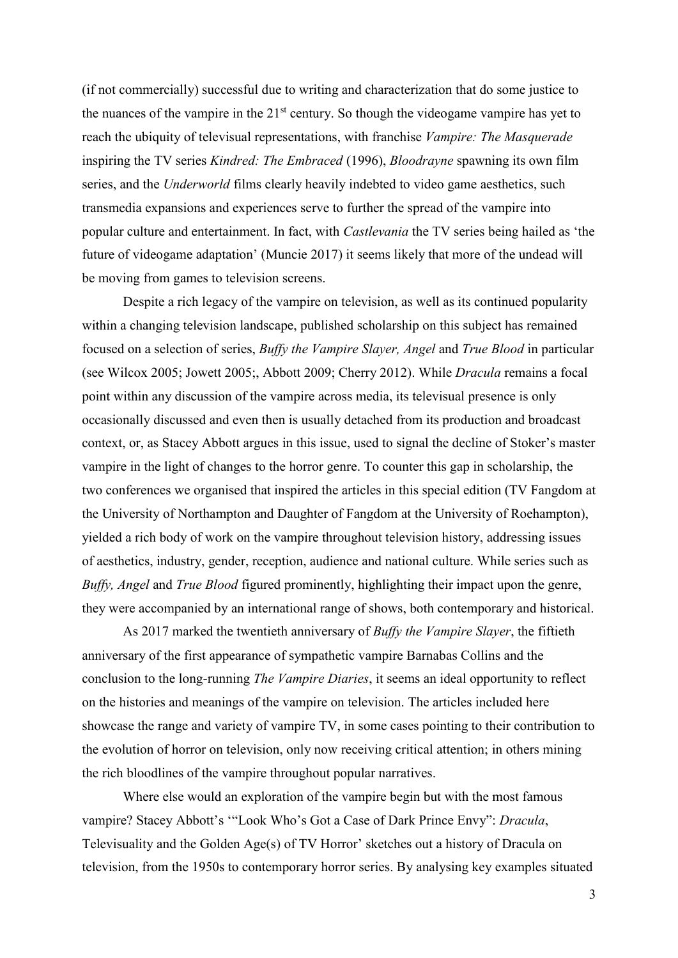(if not commercially) successful due to writing and characterization that do some justice to the nuances of the vampire in the  $21<sup>st</sup>$  century. So though the videogame vampire has yet to reach the ubiquity of televisual representations, with franchise *Vampire: The Masquerade* inspiring the TV series *Kindred: The Embraced* (1996), *Bloodrayne* spawning its own film series, and the *Underworld* films clearly heavily indebted to video game aesthetics, such transmedia expansions and experiences serve to further the spread of the vampire into popular culture and entertainment. In fact, with *Castlevania* the TV series being hailed as 'the future of videogame adaptation' (Muncie 2017) it seems likely that more of the undead will be moving from games to television screens.

Despite a rich legacy of the vampire on television, as well as its continued popularity within a changing television landscape, published scholarship on this subject has remained focused on a selection of series, *Buffy the Vampire Slayer, Angel* and *True Blood* in particular (see Wilcox 2005; Jowett 2005;, Abbott 2009; Cherry 2012). While *Dracula* remains a focal point within any discussion of the vampire across media, its televisual presence is only occasionally discussed and even then is usually detached from its production and broadcast context, or, as Stacey Abbott argues in this issue, used to signal the decline of Stoker's master vampire in the light of changes to the horror genre. To counter this gap in scholarship, the two conferences we organised that inspired the articles in this special edition (TV Fangdom at the University of Northampton and Daughter of Fangdom at the University of Roehampton), yielded a rich body of work on the vampire throughout television history, addressing issues of aesthetics, industry, gender, reception, audience and national culture. While series such as *Buffy, Angel* and *True Blood* figured prominently, highlighting their impact upon the genre, they were accompanied by an international range of shows, both contemporary and historical.

As 2017 marked the twentieth anniversary of *Buffy the Vampire Slayer*, the fiftieth anniversary of the first appearance of sympathetic vampire Barnabas Collins and the conclusion to the long-running *The Vampire Diaries*, it seems an ideal opportunity to reflect on the histories and meanings of the vampire on television. The articles included here showcase the range and variety of vampire TV, in some cases pointing to their contribution to the evolution of horror on television, only now receiving critical attention; in others mining the rich bloodlines of the vampire throughout popular narratives.

Where else would an exploration of the vampire begin but with the most famous vampire? Stacey Abbott's '"Look Who's Got a Case of Dark Prince Envy": *Dracula*, Televisuality and the Golden Age(s) of TV Horror' sketches out a history of Dracula on television, from the 1950s to contemporary horror series. By analysing key examples situated

3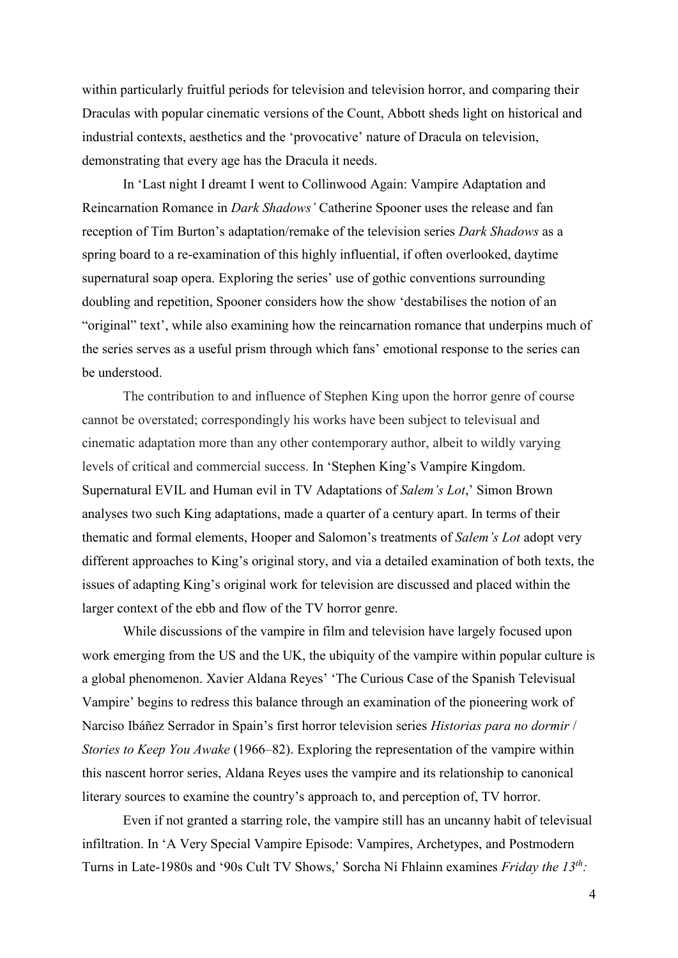within particularly fruitful periods for television and television horror, and comparing their Draculas with popular cinematic versions of the Count, Abbott sheds light on historical and industrial contexts, aesthetics and the 'provocative' nature of Dracula on television, demonstrating that every age has the Dracula it needs.

In 'Last night I dreamt I went to Collinwood Again: Vampire Adaptation and Reincarnation Romance in *Dark Shadows'* Catherine Spooner uses the release and fan reception of Tim Burton's adaptation/remake of the television series *Dark Shadows* as a spring board to a re-examination of this highly influential, if often overlooked, daytime supernatural soap opera. Exploring the series' use of gothic conventions surrounding doubling and repetition, Spooner considers how the show 'destabilises the notion of an "original" text', while also examining how the reincarnation romance that underpins much of the series serves as a useful prism through which fans' emotional response to the series can be understood.

The contribution to and influence of Stephen King upon the horror genre of course cannot be overstated; correspondingly his works have been subject to televisual and cinematic adaptation more than any other contemporary author, albeit to wildly varying levels of critical and commercial success. In 'Stephen King's Vampire Kingdom. Supernatural EVIL and Human evil in TV Adaptations of *Salem's Lot*,' Simon Brown analyses two such King adaptations, made a quarter of a century apart. In terms of their thematic and formal elements, Hooper and Salomon's treatments of *Salem's Lot* adopt very different approaches to King's original story, and via a detailed examination of both texts, the issues of adapting King's original work for television are discussed and placed within the larger context of the ebb and flow of the TV horror genre.

While discussions of the vampire in film and television have largely focused upon work emerging from the US and the UK, the ubiquity of the vampire within popular culture is a global phenomenon. Xavier Aldana Reyes' 'The Curious Case of the Spanish Televisual Vampire' begins to redress this balance through an examination of the pioneering work of Narciso Ibáñez Serrador in Spain's first horror television series *Historias para no dormir* / *Stories to Keep You Awake* (1966–82). Exploring the representation of the vampire within this nascent horror series, Aldana Reyes uses the vampire and its relationship to canonical literary sources to examine the country's approach to, and perception of, TV horror.

Even if not granted a starring role, the vampire still has an uncanny habit of televisual infiltration. In 'A Very Special Vampire Episode: Vampires, Archetypes, and Postmodern Turns in Late-1980s and '90s Cult TV Shows,' Sorcha Ní Fhlainn examines *Friday the 13th:*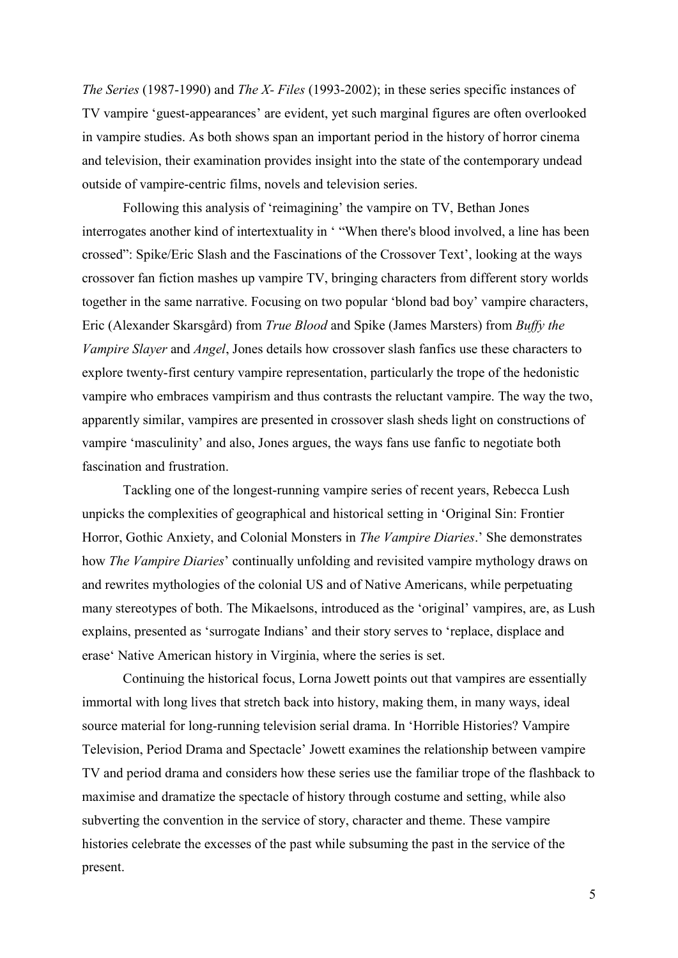*The Series* (1987-1990) and *The X- Files* (1993-2002); in these series specific instances of TV vampire 'guest-appearances' are evident, yet such marginal figures are often overlooked in vampire studies. As both shows span an important period in the history of horror cinema and television, their examination provides insight into the state of the contemporary undead outside of vampire-centric films, novels and television series.

Following this analysis of 'reimagining' the vampire on TV, Bethan Jones interrogates another kind of intertextuality in ' "When there's blood involved, a line has been crossed": Spike/Eric Slash and the Fascinations of the Crossover Text', looking at the ways crossover fan fiction mashes up vampire TV, bringing characters from different story worlds together in the same narrative. Focusing on two popular 'blond bad boy' vampire characters, Eric (Alexander Skarsgård) from *True Blood* and Spike (James Marsters) from *Buffy the Vampire Slayer* and *Angel*, Jones details how crossover slash fanfics use these characters to explore twenty-first century vampire representation, particularly the trope of the hedonistic vampire who embraces vampirism and thus contrasts the reluctant vampire. The way the two, apparently similar, vampires are presented in crossover slash sheds light on constructions of vampire 'masculinity' and also, Jones argues, the ways fans use fanfic to negotiate both fascination and frustration.

Tackling one of the longest-running vampire series of recent years, Rebecca Lush unpicks the complexities of geographical and historical setting in 'Original Sin: Frontier Horror, Gothic Anxiety, and Colonial Monsters in *The Vampire Diaries*.' She demonstrates how *The Vampire Diaries*' continually unfolding and revisited vampire mythology draws on and rewrites mythologies of the colonial US and of Native Americans, while perpetuating many stereotypes of both. The Mikaelsons, introduced as the 'original' vampires, are, as Lush explains, presented as 'surrogate Indians' and their story serves to 'replace, displace and erase' Native American history in Virginia, where the series is set.

Continuing the historical focus, Lorna Jowett points out that vampires are essentially immortal with long lives that stretch back into history, making them, in many ways, ideal source material for long-running television serial drama. In 'Horrible Histories? Vampire Television, Period Drama and Spectacle' Jowett examines the relationship between vampire TV and period drama and considers how these series use the familiar trope of the flashback to maximise and dramatize the spectacle of history through costume and setting, while also subverting the convention in the service of story, character and theme. These vampire histories celebrate the excesses of the past while subsuming the past in the service of the present.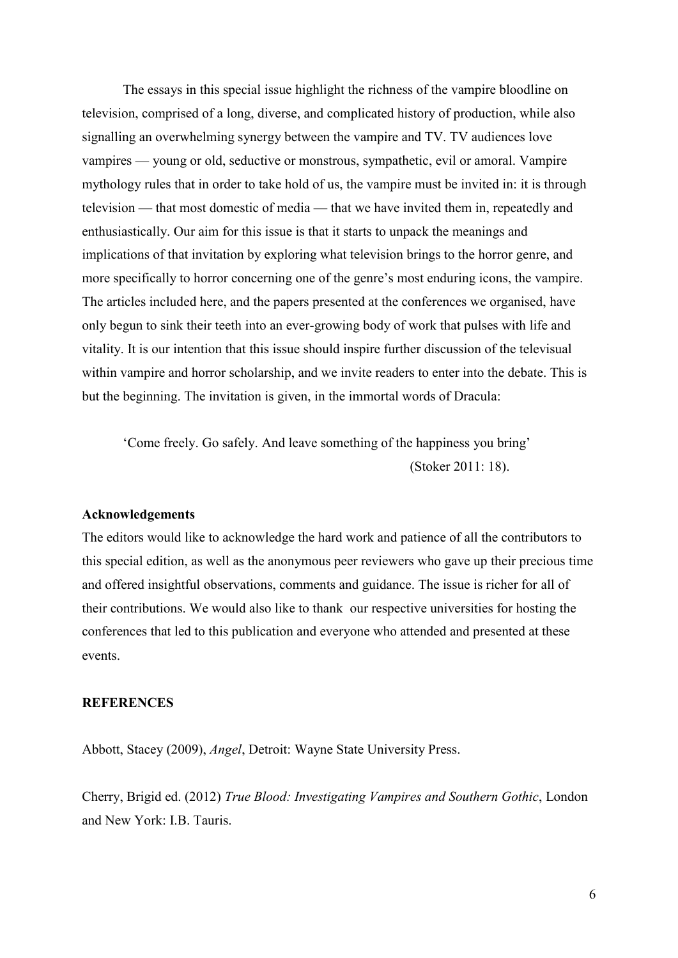The essays in this special issue highlight the richness of the vampire bloodline on television, comprised of a long, diverse, and complicated history of production, while also signalling an overwhelming synergy between the vampire and TV. TV audiences love vampires — young or old, seductive or monstrous, sympathetic, evil or amoral. Vampire mythology rules that in order to take hold of us, the vampire must be invited in: it is through television — that most domestic of media — that we have invited them in, repeatedly and enthusiastically. Our aim for this issue is that it starts to unpack the meanings and implications of that invitation by exploring what television brings to the horror genre, and more specifically to horror concerning one of the genre's most enduring icons, the vampire. The articles included here, and the papers presented at the conferences we organised, have only begun to sink their teeth into an ever-growing body of work that pulses with life and vitality. It is our intention that this issue should inspire further discussion of the televisual within vampire and horror scholarship, and we invite readers to enter into the debate. This is but the beginning. The invitation is given, in the immortal words of Dracula:

'Come freely. Go safely. And leave something of the happiness you bring' (Stoker 2011: 18).

#### **Acknowledgements**

The editors would like to acknowledge the hard work and patience of all the contributors to this special edition, as well as the anonymous peer reviewers who gave up their precious time and offered insightful observations, comments and guidance. The issue is richer for all of their contributions. We would also like to thank our respective universities for hosting the conferences that led to this publication and everyone who attended and presented at these events.

## **REFERENCES**

Abbott, Stacey (2009), *Angel*, Detroit: Wayne State University Press.

Cherry, Brigid ed. (2012) *True Blood: Investigating Vampires and Southern Gothic*, London and New York: I.B. Tauris.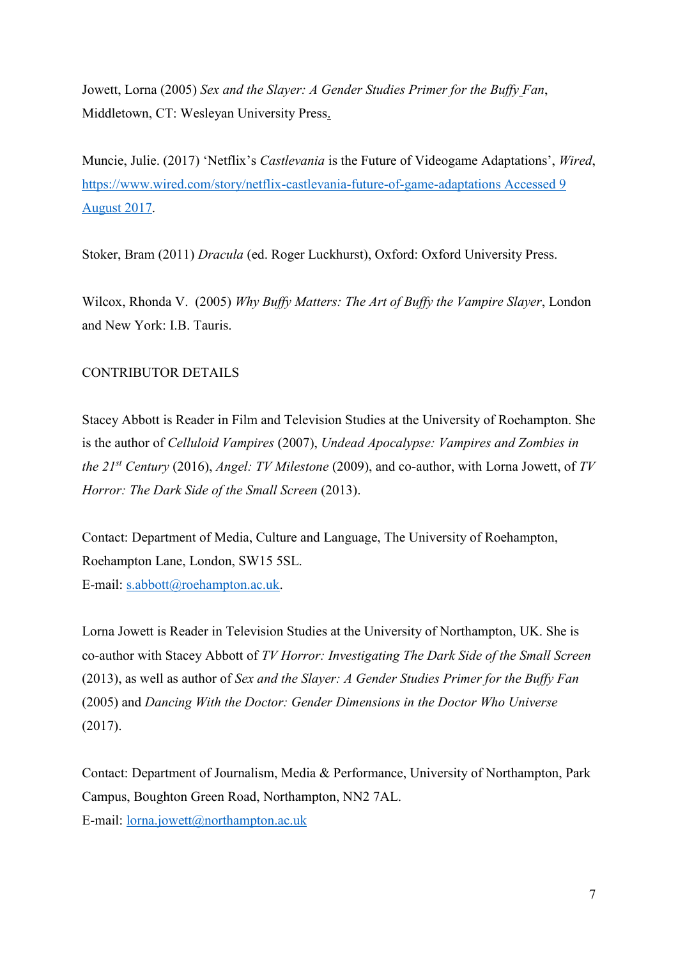Jowett, Lorna (2005) *Sex and the Slayer: A Gender Studies Primer for the Buffy Fan*, Middletown, CT: Wesleyan University Press.

Muncie, Julie. (2017) 'Netflix's *Castlevania* is the Future of Videogame Adaptations', *Wired*, [https://www.wired.com/story/netflix-castlevania-future-of-game-adaptations Accessed 9](https://www.wired.com/story/netflix-castlevania-future-of-game-adaptations%20Accessed%209%20August%202017)  [August 2017.](https://www.wired.com/story/netflix-castlevania-future-of-game-adaptations%20Accessed%209%20August%202017)

Stoker, Bram (2011) *Dracula* (ed. Roger Luckhurst), Oxford: Oxford University Press.

Wilcox, Rhonda V. (2005) *Why Buffy Matters: The Art of Buffy the Vampire Slayer*, London and New York: I.B. Tauris.

# CONTRIBUTOR DETAILS

Stacey Abbott is Reader in Film and Television Studies at the University of Roehampton. She is the author of *Celluloid Vampires* (2007), *Undead Apocalypse: Vampires and Zombies in the 21st Century* (2016), *Angel: TV Milestone* (2009), and co-author, with Lorna Jowett, of *TV Horror: The Dark Side of the Small Screen* (2013).

Contact: Department of Media, Culture and Language, The University of Roehampton, Roehampton Lane, London, SW15 5SL. E-mail: [s.abbott@roehampton.ac.uk.](mailto:s.abbott@roehampton.ac.uk)

Lorna Jowett is Reader in Television Studies at the University of Northampton, UK. She is co-author with Stacey Abbott of *TV Horror: Investigating The Dark Side of the Small Screen* (2013), as well as author of *Sex and the Slayer: A Gender Studies Primer for the Buffy Fan* (2005) and *Dancing With the Doctor: Gender Dimensions in the Doctor Who Universe* (2017).

Contact: Department of Journalism, Media & Performance, University of Northampton, Park Campus, Boughton Green Road, Northampton, NN2 7AL. E-mail: [lorna.jowett@northampton.ac.uk](mailto:lorna.jowett@northampton.ac.uk)